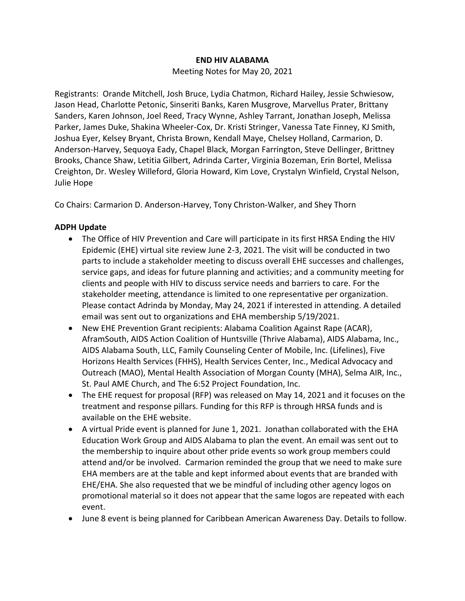#### **END HIV ALABAMA**

Meeting Notes for May 20, 2021

Registrants: Orande Mitchell, Josh Bruce, Lydia Chatmon, Richard Hailey, Jessie Schwiesow, Jason Head, Charlotte Petonic, Sinseriti Banks, Karen Musgrove, Marvellus Prater, Brittany Sanders, Karen Johnson, Joel Reed, Tracy Wynne, Ashley Tarrant, Jonathan Joseph, Melissa Parker, James Duke, Shakina Wheeler-Cox, Dr. Kristi Stringer, Vanessa Tate Finney, KJ Smith, Joshua Eyer, Kelsey Bryant, Christa Brown, Kendall Maye, Chelsey Holland, Carmarion, D. Anderson-Harvey, Sequoya Eady, Chapel Black, Morgan Farrington, Steve Dellinger, Brittney Brooks, Chance Shaw, Letitia Gilbert, Adrinda Carter, Virginia Bozeman, Erin Bortel, Melissa Creighton, Dr. Wesley Willeford, Gloria Howard, Kim Love, Crystalyn Winfield, Crystal Nelson, Julie Hope

Co Chairs: Carmarion D. Anderson-Harvey, Tony Christon-Walker, and Shey Thorn

# **ADPH Update**

- The Office of HIV Prevention and Care will participate in its first HRSA Ending the HIV Epidemic (EHE) virtual site review June 2-3, 2021. The visit will be conducted in two parts to include a stakeholder meeting to discuss overall EHE successes and challenges, service gaps, and ideas for future planning and activities; and a community meeting for clients and people with HIV to discuss service needs and barriers to care. For the stakeholder meeting, attendance is limited to one representative per organization. Please contact Adrinda by Monday, May 24, 2021 if interested in attending. A detailed email was sent out to organizations and EHA membership 5/19/2021.
- New EHE Prevention Grant recipients: Alabama Coalition Against Rape (ACAR), AframSouth, AIDS Action Coalition of Huntsville (Thrive Alabama), AIDS Alabama, Inc., AIDS Alabama South, LLC, Family Counseling Center of Mobile, Inc. (Lifelines), Five Horizons Health Services (FHHS), Health Services Center, Inc., Medical Advocacy and Outreach (MAO), Mental Health Association of Morgan County (MHA), Selma AIR, Inc., St. Paul AME Church, and The 6:52 Project Foundation, Inc.
- The EHE request for proposal (RFP) was released on May 14, 2021 and it focuses on the treatment and response pillars. Funding for this RFP is through HRSA funds and is available on the EHE website.
- A virtual Pride event is planned for June 1, 2021. Jonathan collaborated with the EHA Education Work Group and AIDS Alabama to plan the event. An email was sent out to the membership to inquire about other pride events so work group members could attend and/or be involved. Carmarion reminded the group that we need to make sure EHA members are at the table and kept informed about events that are branded with EHE/EHA. She also requested that we be mindful of including other agency logos on promotional material so it does not appear that the same logos are repeated with each event.
- June 8 event is being planned for Caribbean American Awareness Day. Details to follow.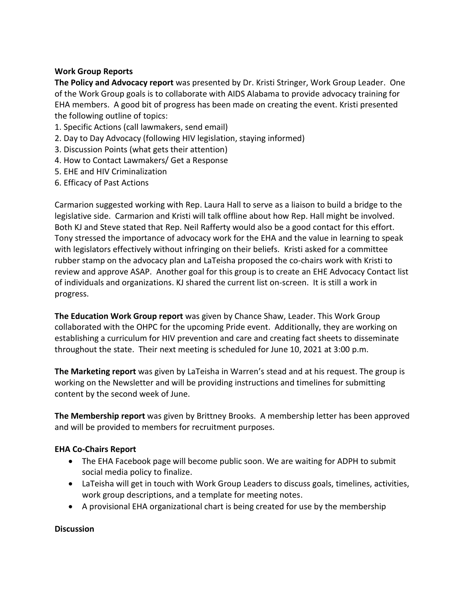# **Work Group Reports**

**The Policy and Advocacy report** was presented by Dr. Kristi Stringer, Work Group Leader.One of the Work Group goals is to collaborate with AIDS Alabama to provide advocacy training for EHA members. A good bit of progress has been made on creating the event. Kristi presented the following outline of topics:

- 1. Specific Actions (call lawmakers, send email)
- 2. Day to Day Advocacy (following HIV legislation, staying informed)
- 3. Discussion Points (what gets their attention)
- 4. How to Contact Lawmakers/ Get a Response
- 5. EHE and HIV Criminalization
- 6. Efficacy of Past Actions

Carmarion suggested working with Rep. Laura Hall to serve as a liaison to build a bridge to the legislative side. Carmarion and Kristi will talk offline about how Rep. Hall might be involved. Both KJ and Steve stated that Rep. Neil Rafferty would also be a good contact for this effort. Tony stressed the importance of advocacy work for the EHA and the value in learning to speak with legislators effectively without infringing on their beliefs. Kristi asked for a committee rubber stamp on the advocacy plan and LaTeisha proposed the co-chairs work with Kristi to review and approve ASAP. Another goal for this group is to create an EHE Advocacy Contact list of individuals and organizations. KJ shared the current list on-screen. It is still a work in progress.

**The Education Work Group report** was given by Chance Shaw, Leader. This Work Group collaborated with the OHPC for the upcoming Pride event. Additionally, they are working on establishing a curriculum for HIV prevention and care and creating fact sheets to disseminate throughout the state. Their next meeting is scheduled for June 10, 2021 at 3:00 p.m.

**The Marketing report** was given by LaTeisha in Warren's stead and at his request. The group is working on the Newsletter and will be providing instructions and timelines for submitting content by the second week of June.

**The Membership report** was given by Brittney Brooks. A membership letter has been approved and will be provided to members for recruitment purposes.

### **EHA Co-Chairs Report**

- The EHA Facebook page will become public soon. We are waiting for ADPH to submit social media policy to finalize.
- LaTeisha will get in touch with Work Group Leaders to discuss goals, timelines, activities, work group descriptions, and a template for meeting notes.
- A provisional EHA organizational chart is being created for use by the membership

#### **Discussion**